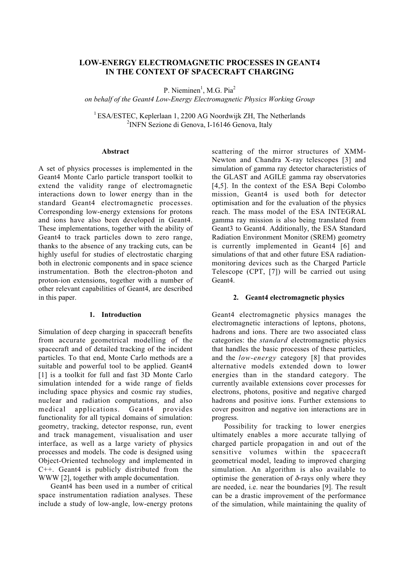# **LOW-ENERGY ELECTROMAGNETIC PROCESSES IN GEANT4 IN THE CONTEXT OF SPACECRAFT CHARGING**

P. Nieminen<sup>1</sup>, M.G. Pia<sup>2</sup>

*on behalf of the Geant4 Low-Energy Electromagnetic Physics Working Group*

<sup>1</sup> ESA/ESTEC, Keplerlaan 1, 2200 AG Noordwijk ZH, The Netherlands <sup>2</sup>INFN Sezione di Genova, I-16146 Genova, Italy

#### **Abstract**

A set of physics processes is implemented in the Geant4 Monte Carlo particle transport toolkit to extend the validity range of electromagnetic interactions down to lower energy than in the standard Geant4 electromagnetic processes. Corresponding low-energy extensions for protons and ions have also been developed in Geant4. These implementations, together with the ability of Geant4 to track particles down to zero range, thanks to the absence of any tracking cuts, can be highly useful for studies of electrostatic charging both in electronic components and in space science instrumentation. Both the electron-photon and proton-ion extensions, together with a number of other relevant capabilities of Geant4, are described in this paper.

#### **1. Introduction**

Simulation of deep charging in spacecraft benefits from accurate geometrical modelling of the spacecraft and of detailed tracking of the incident particles. To that end, Monte Carlo methods are a suitable and powerful tool to be applied. Geant4 [1] is a toolkit for full and fast 3D Monte Carlo simulation intended for a wide range of fields including space physics and cosmic ray studies, nuclear and radiation computations, and also medical applications. Geant4 provides functionality for all typical domains of simulation: geometry, tracking, detector response, run, event and track management, visualisation and user interface, as well as a large variety of physics processes and models. The code is designed using Object-Oriented technology and implemented in C++. Geant4 is publicly distributed from the WWW [2], together with ample documentation.

Geant4 has been used in a number of critical space instrumentation radiation analyses. These include a study of low-angle, low-energy protons scattering of the mirror structures of XMM-Newton and Chandra X-ray telescopes [3] and simulation of gamma ray detector characteristics of the GLAST and AGILE gamma ray observatories [4,5]. In the context of the ESA Bepi Colombo mission, Geant4 is used both for detector optimisation and for the evaluation of the physics reach. The mass model of the ESA INTEGRAL gamma ray mission is also being translated from Geant3 to Geant4. Additionally, the ESA Standard Radiation Environment Monitor (SREM) geometry is currently implemented in Geant4 [6] and simulations of that and other future ESA radiationmonitoring devices such as the Charged Particle Telescope (CPT, [7]) will be carried out using Geant4.

#### **2. Geant4 electromagnetic physics**

Geant4 electromagnetic physics manages the electromagnetic interactions of leptons, photons, hadrons and ions. There are two associated class categories: the *standard* electromagnetic physics that handles the basic processes of these particles, and the *low-energy* category [8] that provides alternative models extended down to lower energies than in the standard category. The currently available extensions cover processes for electrons, photons, positive and negative charged hadrons and positive ions. Further extensions to cover positron and negative ion interactions are in progress.

Possibility for tracking to lower energies ultimately enables a more accurate tallying of charged particle propagation in and out of the sensitive volumes within the spacecraft geometrical model, leading to improved charging simulation. An algorithm is also available to optimise the generation of  $\delta$ -rays only where they are needed, i.e. near the boundaries [9]. The result can be a drastic improvement of the performance of the simulation, while maintaining the quality of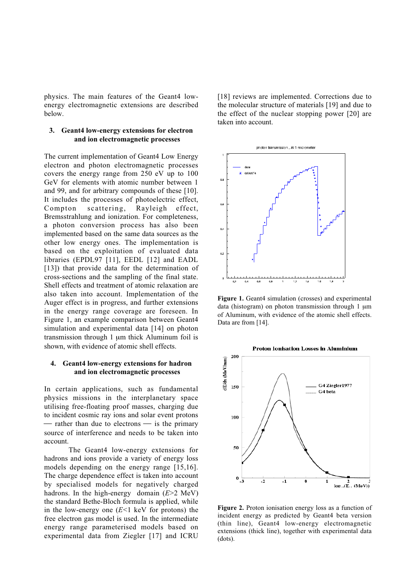physics. The main features of the Geant4 lowenergy electromagnetic extensions are described below.

### **3. Geant4 low-energy extensions for electron and ion electromagnetic processes**

The current implementation of Geant4 Low Energy electron and photon electromagnetic processes covers the energy range from 250 eV up to 100 GeV for elements with atomic number between 1 and 99, and for arbitrary compounds of these [10]. It includes the processes of photoelectric effect, Compton scattering, Rayleigh effect, Bremsstrahlung and ionization. For completeness, a photon conversion process has also been implemented based on the same data sources as the other low energy ones. The implementation is based on the exploitation of evaluated data libraries (EPDL97 [11], EEDL [12] and EADL [13]) that provide data for the determination of cross-sections and the sampling of the final state. Shell effects and treatment of atomic relaxation are also taken into account. Implementation of the Auger effect is in progress, and further extensions in the energy range coverage are foreseen. In Figure 1, an example comparison between Geant4 simulation and experimental data [14] on photon transmission through 1 µm thick Aluminum foil is shown, with evidence of atomic shell effects.

#### **4. Geant4 low-energy extensions for hadron and ion electromagnetic processes**

In certain applications, such as fundamental physics missions in the interplanetary space utilising free-floating proof masses, charging due to incident cosmic ray ions and solar event protons  $-$  rather than due to electrons  $-$  is the primary source of interference and needs to be taken into account.

The Geant4 low-energy extensions for hadrons and ions provide a variety of energy loss models depending on the energy range [15,16]. The charge dependence effect is taken into account by specialised models for negatively charged hadrons. In the high-energy domain (*E*>2 MeV) the standard Bethe-Bloch formula is applied, while in the low-energy one (*E*<1 keV for protons) the free electron gas model is used. In the intermediate energy range parameterised models based on experimental data from Ziegler [17] and ICRU [18] reviews are implemented. Corrections due to the molecular structure of materials [19] and due to the effect of the nuclear stopping power [20] are taken into account.



**Figure 1.** Geant4 simulation (crosses) and experimental data (histogram) on photon transmission through  $1 \mu m$ of Aluminum, with evidence of the atomic shell effects. Data are from [14].



**Figure 2.** Proton ionisation energy loss as a function of incident energy as predicted by Geant4 beta version (thin line), Geant4 low-energy electromagnetic extensions (thick line), together with experimental data (dots).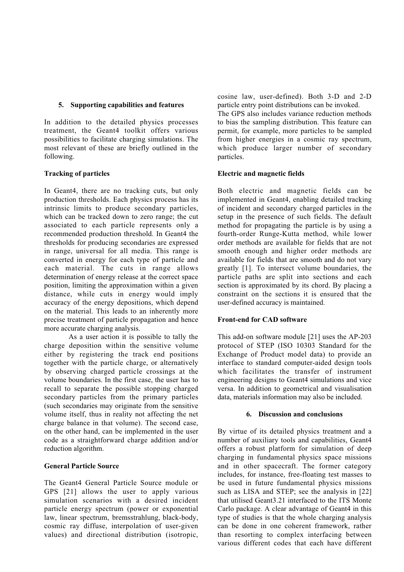## **5. Supporting capabilities and features**

In addition to the detailed physics processes treatment, the Geant4 toolkit offers various possibilities to facilitate charging simulations. The most relevant of these are briefly outlined in the following.

## **Tracking of particles**

In Geant4, there are no tracking cuts, but only production thresholds. Each physics process has its intrinsic limits to produce secondary particles, which can be tracked down to zero range; the cut associated to each particle represents only a recommended production threshold. In Geant4 the thresholds for producing secondaries are expressed in range, universal for all media. This range is converted in energy for each type of particle and each material. The cuts in range allows determination of energy release at the correct space position, limiting the approximation within a given distance, while cuts in energy would imply accuracy of the energy depositions, which depend on the material. This leads to an inherently more precise treatment of particle propagation and hence more accurate charging analysis.

As a user action it is possible to tally the charge deposition within the sensitive volume either by registering the track end positions together with the particle charge, or alternatively by observing charged particle crossings at the volume boundaries. In the first case, the user has to recall to separate the possible stopping charged secondary particles from the primary particles (such secondaries may originate from the sensitive volume itself, thus in reality not affecting the net charge balance in that volume). The second case, on the other hand, can be implemented in the user code as a straightforward charge addition and/or reduction algorithm.

## **General Particle Source**

The Geant4 General Particle Source module or GPS [21] allows the user to apply various simulation scenarios with a desired incident particle energy spectrum (power or exponential law, linear spectrum, bremsstrahlung, black-body, cosmic ray diffuse, interpolation of user-given values) and directional distribution (isotropic,

cosine law, user-defined). Both 3-D and 2-D particle entry point distributions can be invoked.

The GPS also includes variance reduction methods to bias the sampling distribution. This feature can permit, for example, more particles to be sampled from higher energies in a cosmic ray spectrum, which produce larger number of secondary particles.

## **Electric and magnetic fields**

Both electric and magnetic fields can be implemented in Geant4, enabling detailed tracking of incident and secondary charged particles in the setup in the presence of such fields. The default method for propagating the particle is by using a fourth-order Runge-Kutta method, while lower order methods are available for fields that are not smooth enough and higher order methods are available for fields that are smooth and do not vary greatly [1]. To intersect volume boundaries, the particle paths are split into sections and each section is approximated by its chord. By placing a constraint on the sections it is ensured that the user-defined accuracy is maintained.

# **Front-end for CAD software**

This add-on software module [21] uses the AP-203 protocol of STEP (ISO 10303 Standard for the Exchange of Product model data) to provide an interface to standard computer-aided design tools which facilitates the transfer of instrument engineering designs to Geant4 simulations and vice versa. In addition to geometrical and visualisation data, materials information may also be included.

## **6. Discussion and conclusions**

By virtue of its detailed physics treatment and a number of auxiliary tools and capabilities, Geant4 offers a robust platform for simulation of deep charging in fundamental physics space missions and in other spacecraft. The former category includes, for instance, free-floating test masses to be used in future fundamental physics missions such as LISA and STEP; see the analysis in [22] that utilised Geant3.21 interfaced to the ITS Monte Carlo package. A clear advantage of Geant4 in this type of studies is that the whole charging analysis can be done in one coherent framework, rather than resorting to complex interfacing between various different codes that each have different